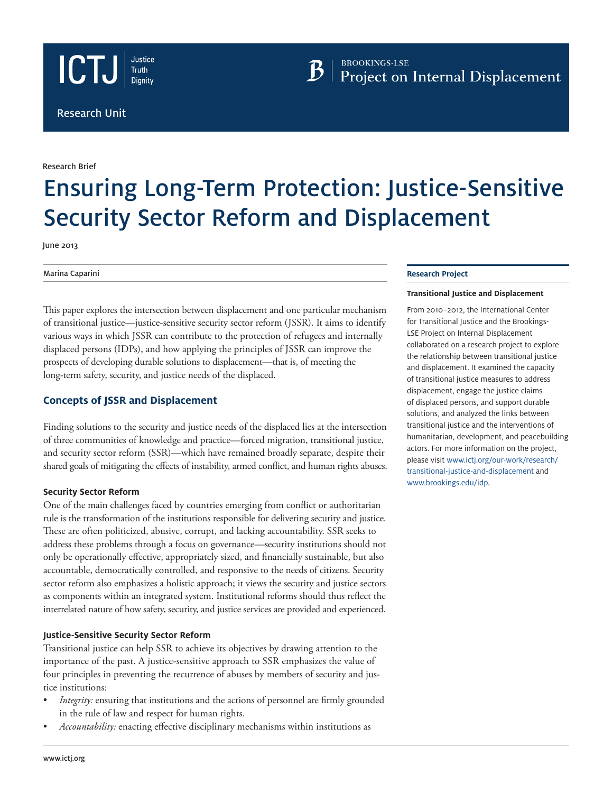





Research Brief

# Ensuring Long-Term Protection: Justice-Sensitive Security Sector Reform and Displacement

June 2013

Marina Caparini

This paper explores the intersection between displacement and one particular mechanism of transitional justice—justice-sensitive security sector reform (JSSR). It aims to identify various ways in which JSSR can contribute to the protection of refugees and internally displaced persons (IDPs), and how applying the principles of JSSR can improve the prospects of developing durable solutions to displacement—that is, of meeting the long-term safety, security, and justice needs of the displaced.

# **Concepts of JSSR and Displacement**

Finding solutions to the security and justice needs of the displaced lies at the intersection of three communities of knowledge and practice—forced migration, transitional justice, and security sector reform (SSR)—which have remained broadly separate, despite their shared goals of mitigating the effects of instability, armed conflict, and human rights abuses.

## **Security Sector Reform**

One of the main challenges faced by countries emerging from conflict or authoritarian rule is the transformation of the institutions responsible for delivering security and justice. These are often politicized, abusive, corrupt, and lacking accountability. SSR seeks to address these problems through a focus on governance—security institutions should not only be operationally effective, appropriately sized, and financially sustainable, but also accountable, democratically controlled, and responsive to the needs of citizens. Security sector reform also emphasizes a holistic approach; it views the security and justice sectors as components within an integrated system. Institutional reforms should thus reflect the interrelated nature of how safety, security, and justice services are provided and experienced.

## **Justice-Sensitive Security Sector Reform**

Transitional justice can help SSR to achieve its objectives by drawing attention to the importance of the past. A justice-sensitive approach to SSR emphasizes the value of four principles in preventing the recurrence of abuses by members of security and justice institutions:

- *Integrity:* ensuring that institutions and the actions of personnel are firmly grounded in the rule of law and respect for human rights.
- Accountability: enacting effective disciplinary mechanisms within institutions as

## **Research Project**

### **Transitional Justice and Displacement**

From 2010–2012, the International Center for Transitional Justice and the Brookings-LSE Project on Internal Displacement collaborated on a research project to explore the relationship between transitional justice and displacement. It examined the capacity of transitional justice measures to address displacement, engage the justice claims of displaced persons, and support durable solutions, and analyzed the links between transitional justice and the interventions of humanitarian, development, and peacebuilding actors. For more information on the project, please visit www[.ictj.org/our-work/research/](http://ictj.org/our-work/research/transitional-justice-and-displacement) [transitional-justice-and-displacement](http://ictj.org/our-work/research/transitional-justice-and-displacement) and [www.brookings.edu/idp.](http://www.brookings.edu/idp)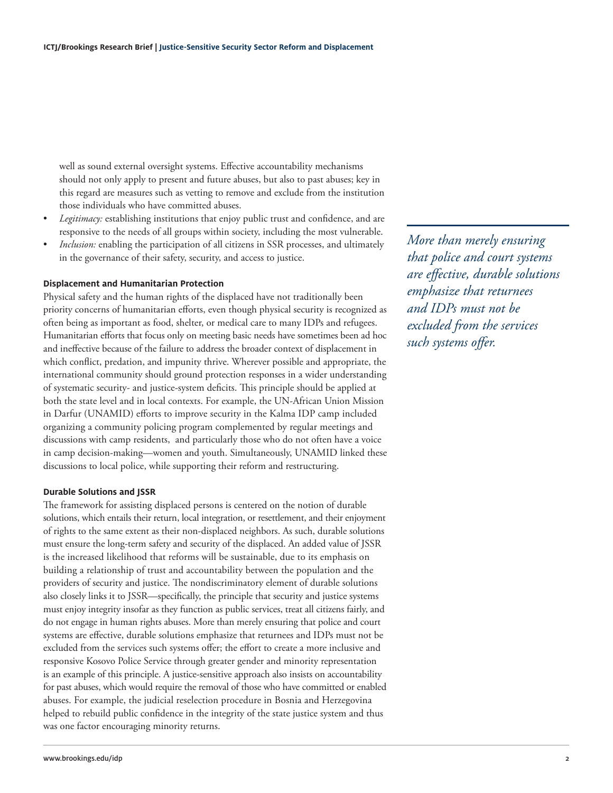well as sound external oversight systems. Effective accountability mechanisms should not only apply to present and future abuses, but also to past abuses; key in this regard are measures such as vetting to remove and exclude from the institution those individuals who have committed abuses.

- *Legitimacy:* establishing institutions that enjoy public trust and confidence, and are responsive to the needs of all groups within society, including the most vulnerable.
- *Inclusion:* enabling the participation of all citizens in SSR processes, and ultimately in the governance of their safety, security, and access to justice.

### **Displacement and Humanitarian Protection**

Physical safety and the human rights of the displaced have not traditionally been priority concerns of humanitarian efforts, even though physical security is recognized as often being as important as food, shelter, or medical care to many IDPs and refugees. Humanitarian efforts that focus only on meeting basic needs have sometimes been ad hoc and ineffective because of the failure to address the broader context of displacement in which conflict, predation, and impunity thrive. Wherever possible and appropriate, the international community should ground protection responses in a wider understanding of systematic security- and justice-system deficits. This principle should be applied at both the state level and in local contexts. For example, the UN-African Union Mission in Darfur (UNAMID) efforts to improve security in the Kalma IDP camp included organizing a community policing program complemented by regular meetings and discussions with camp residents, and particularly those who do not often have a voice in camp decision-making—women and youth. Simultaneously, UNAMID linked these discussions to local police, while supporting their reform and restructuring.

### **Durable Solutions and JSSR**

The framework for assisting displaced persons is centered on the notion of durable solutions, which entails their return, local integration, or resettlement, and their enjoyment of rights to the same extent as their non-displaced neighbors. As such, durable solutions must ensure the long-term safety and security of the displaced. An added value of JSSR is the increased likelihood that reforms will be sustainable, due to its emphasis on building a relationship of trust and accountability between the population and the providers of security and justice. The nondiscriminatory element of durable solutions also closely links it to JSSR—specifically, the principle that security and justice systems must enjoy integrity insofar as they function as public services, treat all citizens fairly, and do not engage in human rights abuses. More than merely ensuring that police and court systems are effective, durable solutions emphasize that returnees and IDPs must not be excluded from the services such systems offer; the effort to create a more inclusive and responsive Kosovo Police Service through greater gender and minority representation is an example of this principle. A justice-sensitive approach also insists on accountability for past abuses, which would require the removal of those who have committed or enabled abuses. For example, the judicial reselection procedure in Bosnia and Herzegovina helped to rebuild public confidence in the integrity of the state justice system and thus was one factor encouraging minority returns.

*More than merely ensuring that police and court systems are effective, durable solutions emphasize that returnees and IDPs must not be excluded from the services such systems offer.*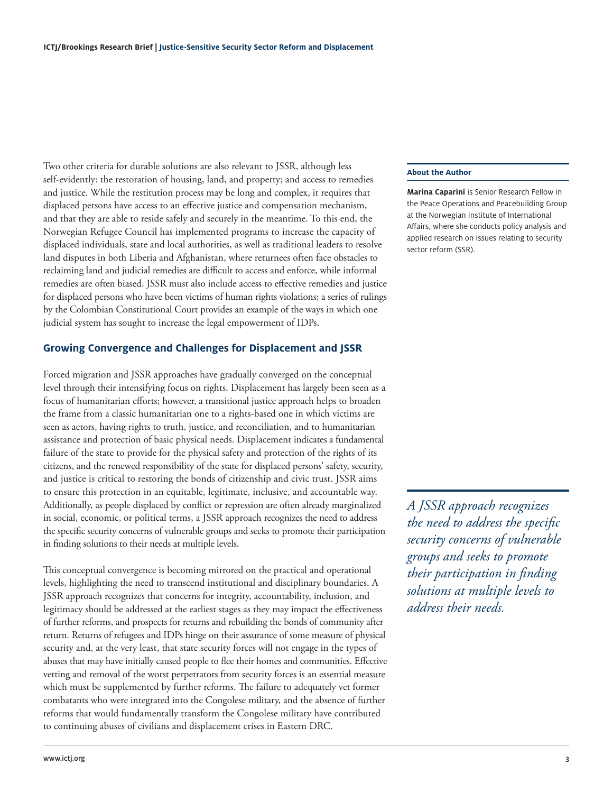Two other criteria for durable solutions are also relevant to JSSR, although less self-evidently: the restoration of housing, land, and property; and access to remedies and justice. While the restitution process may be long and complex, it requires that displaced persons have access to an effective justice and compensation mechanism, and that they are able to reside safely and securely in the meantime. To this end, the Norwegian Refugee Council has implemented programs to increase the capacity of displaced individuals, state and local authorities, as well as traditional leaders to resolve land disputes in both Liberia and Afghanistan, where returnees often face obstacles to reclaiming land and judicial remedies are difficult to access and enforce, while informal remedies are often biased. JSSR must also include access to effective remedies and justice for displaced persons who have been victims of human rights violations; a series of rulings by the Colombian Constitutional Court provides an example of the ways in which one judicial system has sought to increase the legal empowerment of IDPs.

## **Growing Convergence and Challenges for Displacement and JSSR**

Forced migration and JSSR approaches have gradually converged on the conceptual level through their intensifying focus on rights. Displacement has largely been seen as a focus of humanitarian efforts; however, a transitional justice approach helps to broaden the frame from a classic humanitarian one to a rights-based one in which victims are seen as actors, having rights to truth, justice, and reconciliation, and to humanitarian assistance and protection of basic physical needs. Displacement indicates a fundamental failure of the state to provide for the physical safety and protection of the rights of its citizens, and the renewed responsibility of the state for displaced persons' safety, security, and justice is critical to restoring the bonds of citizenship and civic trust. JSSR aims to ensure this protection in an equitable, legitimate, inclusive, and accountable way. Additionally, as people displaced by conflict or repression are often already marginalized in social, economic, or political terms, a JSSR approach recognizes the need to address the specific security concerns of vulnerable groups and seeks to promote their participation in finding solutions to their needs at multiple levels.

This conceptual convergence is becoming mirrored on the practical and operational levels, highlighting the need to transcend institutional and disciplinary boundaries. A JSSR approach recognizes that concerns for integrity, accountability, inclusion, and legitimacy should be addressed at the earliest stages as they may impact the effectiveness of further reforms, and prospects for returns and rebuilding the bonds of community after return. Returns of refugees and IDPs hinge on their assurance of some measure of physical security and, at the very least, that state security forces will not engage in the types of abuses that may have initially caused people to flee their homes and communities. Effective vetting and removal of the worst perpetrators from security forces is an essential measure which must be supplemented by further reforms. The failure to adequately vet former combatants who were integrated into the Congolese military, and the absence of further reforms that would fundamentally transform the Congolese military have contributed to continuing abuses of civilians and displacement crises in Eastern DRC.

#### **About the Author**

**Marina Caparini** is Senior Research Fellow in the Peace Operations and Peacebuilding Group at the Norwegian Institute of International Affairs, where she conducts policy analysis and applied research on issues relating to security sector reform (SSR).

*A JSSR approach recognizes the need to address the specific security concerns of vulnerable groups and seeks to promote their participation in finding solutions at multiple levels to address their needs.*